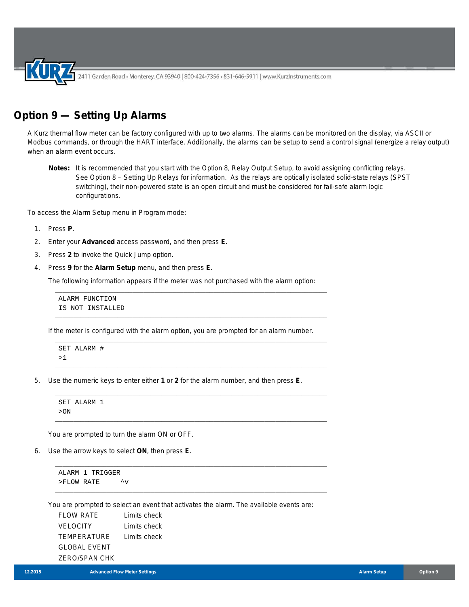2411 Garden Road • Monterey, CA 93940 | 800-424-7356 • 831-646-5911 | www.KurzInstruments.com

## **Option 9 — Setting Up Alarms**

A Kurz thermal flow meter can be factory configured with up to two alarms. The alarms can be monitored on the display, via ASCII or Modbus commands, or through the HART interface. Additionally, the alarms can be setup to send a control signal (energize a relay output) when an alarm event occurs.

**Notes:** It is recommended that you start with the Option 8, Relay Output Setup, to avoid assigning conflicting relays. See Option 8 – Setting Up Relays for information. As the relays are optically isolated solid-state relays (SPST switching), their non-powered state is an open circuit and must be considered for fail-safe alarm logic configurations.

To access the Alarm Setup menu in Program mode:

- 1. Press **P**.
- 2. Enter your **Advanced** access password, and then press **E**.
- 3. Press **2** to invoke the Quick Jump option.
- 4. Press **9** for the **Alarm Setup** menu, and then press **E**.

The following information appears if the meter was not purchased with the alarm option:

\_\_\_\_\_\_\_\_\_\_\_\_\_\_\_\_\_\_\_\_\_\_\_\_\_\_\_\_\_\_\_\_\_\_\_\_\_\_\_\_\_\_\_\_\_\_\_\_\_\_\_\_\_\_\_\_\_\_\_\_\_\_\_\_\_\_\_\_\_\_\_\_\_\_

\_\_\_\_\_\_\_\_\_\_\_\_\_\_\_\_\_\_\_\_\_\_\_\_\_\_\_\_\_\_\_\_\_\_\_\_\_\_\_\_\_\_\_\_\_\_\_\_\_\_\_\_\_\_\_\_\_\_\_\_\_\_\_\_\_\_\_\_\_\_\_\_\_\_

\_\_\_\_\_\_\_\_\_\_\_\_\_\_\_\_\_\_\_\_\_\_\_\_\_\_\_\_\_\_\_\_\_\_\_\_\_\_\_\_\_\_\_\_\_\_\_\_\_\_\_\_\_\_\_\_\_\_\_\_\_\_\_\_\_\_\_\_\_\_\_\_\_\_

\_\_\_\_\_\_\_\_\_\_\_\_\_\_\_\_\_\_\_\_\_\_\_\_\_\_\_\_\_\_\_\_\_\_\_\_\_\_\_\_\_\_\_\_\_\_\_\_\_\_\_\_\_\_\_\_\_\_\_\_\_\_\_\_\_\_\_\_\_\_\_\_\_\_

\_\_\_\_\_\_\_\_\_\_\_\_\_\_\_\_\_\_\_\_\_\_\_\_\_\_\_\_\_\_\_\_\_\_\_\_\_\_\_\_\_\_\_\_\_\_\_\_\_\_\_\_\_\_\_\_\_\_\_\_\_\_\_\_\_\_\_\_\_\_\_\_\_\_

\_\_\_\_\_\_\_\_\_\_\_\_\_\_\_\_\_\_\_\_\_\_\_\_\_\_\_\_\_\_\_\_\_\_\_\_\_\_\_\_\_\_\_\_\_\_\_\_\_\_\_\_\_\_\_\_\_\_\_\_\_\_\_\_\_\_\_\_\_\_\_\_\_\_

\_\_\_\_\_\_\_\_\_\_\_\_\_\_\_\_\_\_\_\_\_\_\_\_\_\_\_\_\_\_\_\_\_\_\_\_\_\_\_\_\_\_\_\_\_\_\_\_\_\_\_\_\_\_\_\_\_\_\_\_\_\_\_\_\_\_\_\_\_\_\_\_\_\_

\_\_\_\_\_\_\_\_\_\_\_\_\_\_\_\_\_\_\_\_\_\_\_\_\_\_\_\_\_\_\_\_\_\_\_\_\_\_\_\_\_\_\_\_\_\_\_\_\_\_\_\_\_\_\_\_\_\_\_\_\_\_\_\_\_\_\_\_\_\_\_\_\_\_

ALARM FUNCTION IS NOT INSTALLED

If the meter is configured with the alarm option, you are prompted for an alarm number.

SET ALARM # >1

5. Use the numeric keys to enter either **1** or **2** for the alarm number, and then press **E**.

SET ALARM 1 >ON

You are prompted to turn the alarm ON or OFF.

6. Use the arrow keys to select **ON**, then press **E**.

ALARM 1 TRIGGER  $>$  FLOW RATE  $\qquad \qquad \uparrow_V$ 

You are prompted to select an event that activates the alarm. The available events are:

| <b>FLOW RATE</b>     | Limits check |
|----------------------|--------------|
| <b>VELOCITY</b>      | Limits check |
| <b>TEMPERATURE</b>   | Limits check |
| GLOBAL EVENT         |              |
| <b>ZERO/SPAN CHK</b> |              |